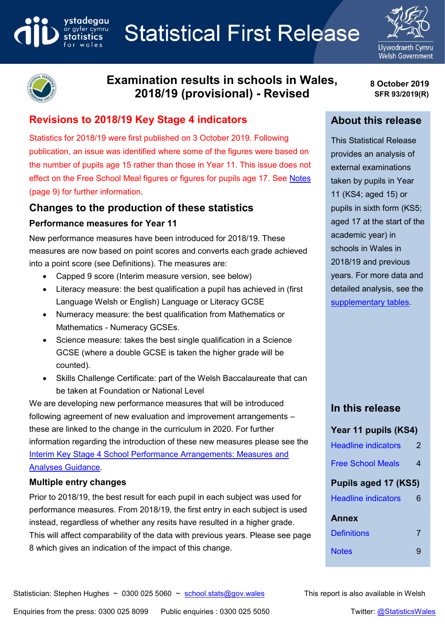# **Statistical First Release**





### **Examination results in schools in Wales, 2018/19 (provisional) - Revised**

**8 October 2019 SFR 93/2019(R)**

### **Revisions to 2018/19 Key Stage 4 indicators**

Statistics for 2018/19 were first published on 3 October 2019. Following publication, an issue was identified where some of the figures were based on the number of pupils age 15 rather than those in Year 11. This issue does not effect on the Free School Meal figures or figures for pupils age 17. See [Notes](#page-8-0) (page 9) for further information.

### **Changes to the production of these statistics**

#### **Performance measures for Year 11**

ystadegau

ar gyfer cymru

New performance measures have been introduced for 2018/19. These measures are now based on point scores and converts each grade achieved into a point score (see Definitions). The measures are:

- Capped 9 score (Interim measure version, see below)
- Literacy measure: the best qualification a pupil has achieved in (first Language Welsh or English) Language or Literacy GCSE
- Numeracy measure: the best qualification from Mathematics or Mathematics - Numeracy GCSEs.
- Science measure: takes the best single qualification in a Science GCSE (where a double GCSE is taken the higher grade will be counted).
- Skills Challenge Certificate: part of the Welsh Baccalaureate that can be taken at Foundation or National Level

We are developing new performance measures that will be introduced following agreement of new evaluation and improvement arrangements – these are linked to the change in the curriculum in 2020. For further information regarding the introduction of these new measures please see the [Interim Key Stage 4 School Performance Arrangements: Measures and](https://gov.wales/interim-key-stage-4-school-performance-arrangements)  [Analyses Guidance.](https://gov.wales/interim-key-stage-4-school-performance-arrangements)

### **Multiple entry changes**

Prior to 2018/19, the best result for each pupil in each subject was used for performance measures. From 2018/19, the first entry in each subject is used instead, regardless of whether any resits have resulted in a higher grade. This will affect comparability of the data with previous years. Please see page 8 which gives an indication of the impact of this change.

### **About this release**

This Statistical Release provides an analysis of external examinations taken by pupils in Year 11 (KS4; aged 15) or pupils in sixth form (KS5; aged 17 at the start of the academic year) in schools in Wales in 2018/19 and previous years. For more data and detailed analysis, see the [supplementary tables.](https://gov.wales/examination-results-september-2018-august-2019-provisional)

### **In this release**

### **Year 11 pupils (KS4)**

| <b>Headline indicators</b> | 2 |
|----------------------------|---|
| <b>Free School Meals</b>   | 4 |
| Pupils aged 17 (KS5)       |   |
| <b>Headline indicators</b> | 6 |
| Annex                      |   |
| <b>Definitions</b>         | 7 |
| <b>Notes</b>               | g |
|                            |   |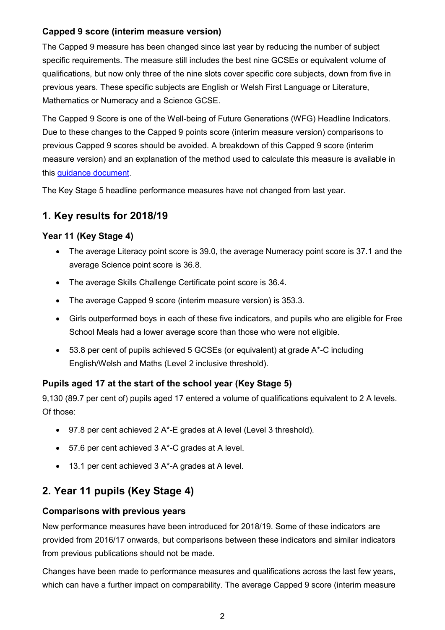### **Capped 9 score (interim measure version)**

The Capped 9 measure has been changed since last year by reducing the number of subject specific requirements. The measure still includes the best nine GCSEs or equivalent volume of qualifications, but now only three of the nine slots cover specific core subjects, down from five in previous years. These specific subjects are English or Welsh First Language or Literature, Mathematics or Numeracy and a Science GCSE.

The Capped 9 Score is one of the Well-being of Future Generations (WFG) Headline Indicators. Due to these changes to the Capped 9 points score (interim measure version) comparisons to previous Capped 9 scores should be avoided. A breakdown of this Capped 9 score (interim measure version) and an explanation of the method used to calculate this measure is available in this [guidance document.](https://gov.wales/capped-9-points-score-interim)

The Key Stage 5 headline performance measures have not changed from last year.

### **1. Key results for 2018/19**

### <span id="page-1-0"></span>**Year 11 (Key Stage 4)**

- The average Literacy point score is 39.0, the average Numeracy point score is 37.1 and the average Science point score is 36.8.
- The average Skills Challenge Certificate point score is 36.4.
- The average Capped 9 score (interim measure version) is 353.3.
- Girls outperformed boys in each of these five indicators, and pupils who are eligible for Free School Meals had a lower average score than those who were not eligible.
- 53.8 per cent of pupils achieved 5 GCSEs (or equivalent) at grade A\*-C including English/Welsh and Maths (Level 2 inclusive threshold).

### **Pupils aged 17 at the start of the school year (Key Stage 5)**

9,130 (89.7 per cent of) pupils aged 17 entered a volume of qualifications equivalent to 2 A levels. Of those:

- 97.8 per cent achieved 2 A\*-E grades at A level (Level 3 threshold).
- 57.6 per cent achieved 3 A\*-C grades at A level.
- $\bullet$  13.1 per cent achieved 3 A\*-A grades at A level.

### **2. Year 11 pupils (Key Stage 4)**

#### **Comparisons with previous years**

New performance measures have been introduced for 2018/19. Some of these indicators are provided from 2016/17 onwards, but comparisons between these indicators and similar indicators from previous publications should not be made.

Changes have been made to performance measures and qualifications across the last few years, which can have a further impact on comparability. The average Capped 9 score (interim measure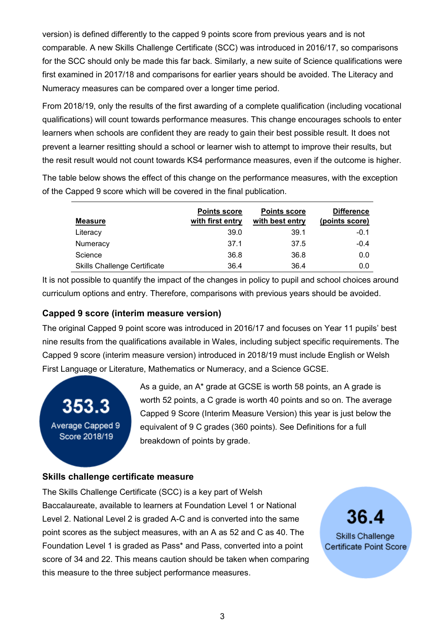version) is defined differently to the capped 9 points score from previous years and is not comparable. A new Skills Challenge Certificate (SCC) was introduced in 2016/17, so comparisons for the SCC should only be made this far back. Similarly, a new suite of Science qualifications were first examined in 2017/18 and comparisons for earlier years should be avoided. The Literacy and Numeracy measures can be compared over a longer time period.

From 2018/19, only the results of the first awarding of a complete qualification (including vocational qualifications) will count towards performance measures. This change encourages schools to enter learners when schools are confident they are ready to gain their best possible result. It does not prevent a learner resitting should a school or learner wish to attempt to improve their results, but the resit result would not count towards KS4 performance measures, even if the outcome is higher.

The table below shows the effect of this change on the performance measures, with the exception of the Capped 9 score which will be covered in the final publication.

| <b>Measure</b>                      | <b>Points score</b><br>with first entry | <b>Points score</b><br>with best entry | <b>Difference</b><br>(points score) |
|-------------------------------------|-----------------------------------------|----------------------------------------|-------------------------------------|
| Literacy                            | 39.0                                    | 39.1                                   | $-0.1$                              |
| Numeracy                            | 37.1                                    | 37.5                                   | $-0.4$                              |
| Science                             | 36.8                                    | 36.8                                   | 0.0                                 |
| <b>Skills Challenge Certificate</b> | 36.4                                    | 36.4                                   | 0.0                                 |

It is not possible to quantify the impact of the changes in policy to pupil and school choices around curriculum options and entry. Therefore, comparisons with previous years should be avoided.

#### **Capped 9 score (interim measure version)**

The original Capped 9 point score was introduced in 2016/17 and focuses on Year 11 pupils' best nine results from the qualifications available in Wales, including subject specific requirements. The Capped 9 score (interim measure version) introduced in 2018/19 must include English or Welsh First Language or Literature, Mathematics or Numeracy, and a Science GCSE.

## 353.3

Average Capped 9 Score 2018/19

As a guide, an A\* grade at GCSE is worth 58 points, an A grade is worth 52 points, a C grade is worth 40 points and so on. The average Capped 9 Score (Interim Measure Version) this year is just below the equivalent of 9 C grades (360 points). See Definitions for a full breakdown of points by grade.

### **Skills challenge certificate measure**

The Skills Challenge Certificate (SCC) is a key part of Welsh Baccalaureate, available to learners at Foundation Level 1 or National Level 2. National Level 2 is graded A-C and is converted into the same point scores as the subject measures, with an A as 52 and C as 40. The Foundation Level 1 is graded as Pass\* and Pass, converted into a point score of 34 and 22. This means caution should be taken when comparing this measure to the three subject performance measures.

**Skills Challenge** Certificate Point Score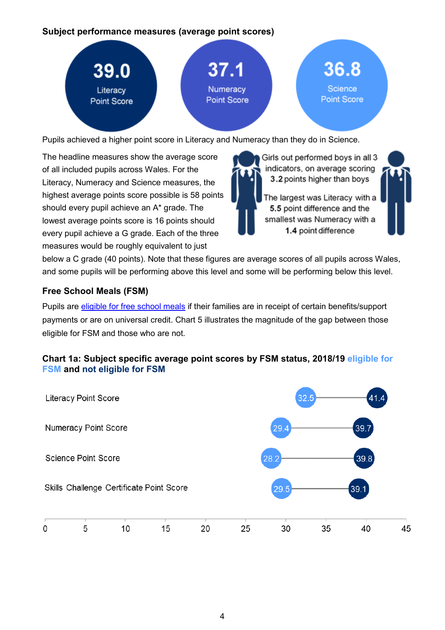### **Subject performance measures (average point scores)**



Pupils achieved a higher point score in Literacy and Numeracy than they do in Science.

The headline measures show the average score of all included pupils across Wales. For the Literacy, Numeracy and Science measures, the highest average points score possible is 58 points should every pupil achieve an A\* grade. The lowest average points score is 16 points should every pupil achieve a G grade. Each of the three measures would be roughly equivalent to just

Girls out performed boys in all 3 indicators, on average scoring 3.2 points higher than boys

The largest was Literacy with a 5.5 point difference and the smallest was Numeracy with a 1.4 point difference

<span id="page-3-0"></span>

below a C grade (40 points). Note that these figures are average scores of all pupils across Wales, and some pupils will be performing above this level and some will be performing below this level.

### **Free School Meals (FSM)**

Pupils are [eligible for free school meals](https://gov.wales/free-school-meals-frequently-asked-questions) if their families are in receipt of certain benefits/support payments or are on universal credit. Chart 5 illustrates the magnitude of the gap between those eligible for FSM and those who are not.

### **Chart 1a: Subject specific average point scores by FSM status, 2018/19 eligible for FSM and not eligible for FSM**

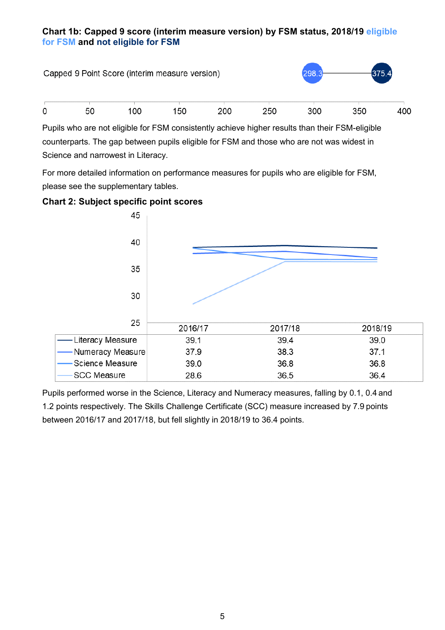#### **Chart 1b: Capped 9 score (interim measure version) by FSM status, 2018/19 eligible for FSM and not eligible for FSM**



Pupils who are not eligible for FSM consistently achieve higher results than their FSM-eligible counterparts. The gap between pupils eligible for FSM and those who are not was widest in Science and narrowest in Literacy.

For more detailed information on performance measures for pupils who are eligible for FSM, please see the supplementary tables.

### **Chart 2: Subject specific point scores**



Pupils performed worse in the Science, Literacy and Numeracy measures, falling by 0.1, 0.4 and 1.2 points respectively. The Skills Challenge Certificate (SCC) measure increased by 7.9 points between 2016/17 and 2017/18, but fell slightly in 2018/19 to 36.4 points.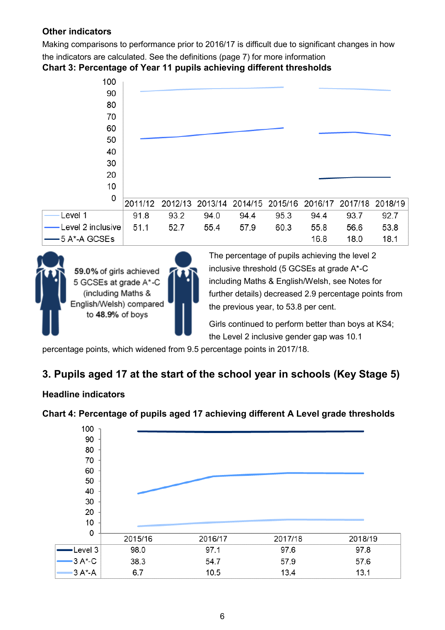### **Other indicators**

Making comparisons to performance prior to 2016/17 is difficult due to significant changes in how

the indicators are calculated. See the definitions (page 7) for more information







The percentage of pupils achieving the level 2 inclusive threshold (5 GCSEs at grade A\*-C including Maths & English/Welsh, see Notes for further details) decreased 2.9 percentage points from the previous year, to 53.8 per cent.

Girls continued to perform better than boys at KS4; the Level 2 inclusive gender gap was 10.1

percentage points, which widened from 9.5 percentage points in 2017/18.

### <span id="page-5-0"></span>**3. Pupils aged 17 at the start of the school year in schools (Key Stage 5)**

### **Headline indicators**



### **Chart 4: Percentage of pupils aged 17 achieving different A Level grade thresholds**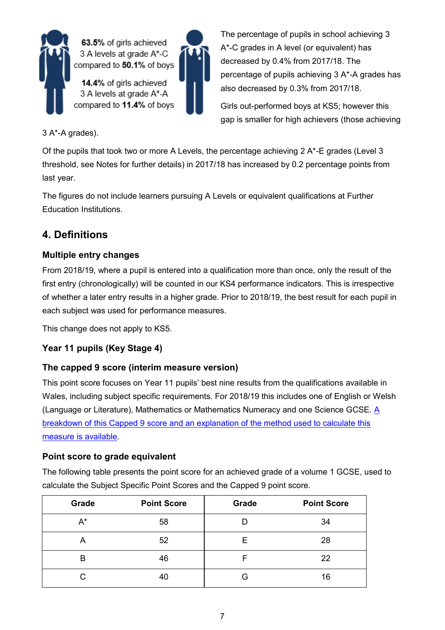

63.5% of girls achieved 3 A levels at grade A\*-C compared to 50.1% of boys

14.4% of girls achieved 3 A levels at grade A\*-A compared to 11.4% of boys The percentage of pupils in school achieving 3 A\*-C grades in A level (or equivalent) has decreased by 0.4% from 2017/18. The percentage of pupils achieving 3 A\*-A grades has also decreased by 0.3% from 2017/18.

Girls out-performed boys at KS5; however this gap is smaller for high achievers (those achieving

3 A\*-A grades).

Of the pupils that took two or more A Levels, the percentage achieving 2 A\*-E grades (Level 3 threshold, see Notes for further details) in 2017/18 has increased by 0.2 percentage points from last year.

The figures do not include learners pursuing A Levels or equivalent qualifications at Further Education Institutions.

### <span id="page-6-0"></span>**4. Definitions**

### **Multiple entry changes**

From 2018/19, where a pupil is entered into a qualification more than once, only the result of the first entry (chronologically) will be counted in our KS4 performance indicators. This is irrespective of whether a later entry results in a higher grade. Prior to 2018/19, the best result for each pupil in each subject was used for performance measures.

This change does not apply to KS5.

### **Year 11 pupils (Key Stage 4)**

### **The capped 9 score (interim measure version)**

This point score focuses on Year 11 pupils' best nine results from the qualifications available in Wales, including subject specific requirements. For 2018/19 this includes one of English or Welsh (Language or Literature), Mathematics or Mathematics Numeracy and one Science GCSE. A [breakdown of this Capped 9 score and an explanation of the method used to calculate this](https://gov.wales/capped-9-points-score-interim)  [measure is available.](https://gov.wales/capped-9-points-score-interim)

### **Point score to grade equivalent**

The following table presents the point score for an achieved grade of a volume 1 GCSE, used to calculate the Subject Specific Point Scores and the Capped 9 point score.

| Grade | <b>Point Score</b> | Grade | <b>Point Score</b> |
|-------|--------------------|-------|--------------------|
| $A^*$ | 58                 | D     | 34                 |
| Α     | 52                 | Е     | 28                 |
| B     | 46                 |       | 22                 |
|       | 40                 | G     | 16                 |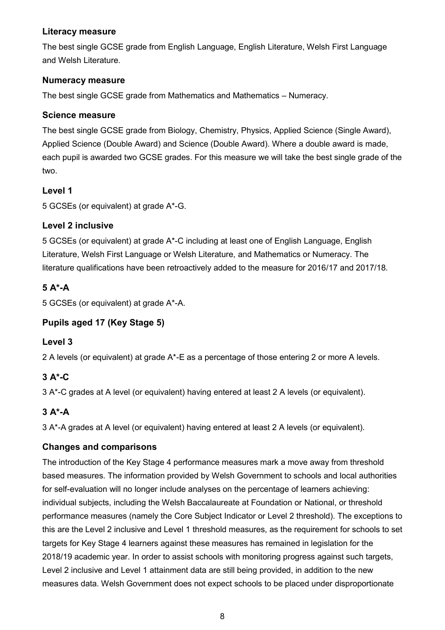#### **Literacy measure**

The best single GCSE grade from English Language, English Literature, Welsh First Language and Welsh Literature.

### **Numeracy measure**

The best single GCSE grade from Mathematics and Mathematics – Numeracy.

#### **Science measure**

The best single GCSE grade from Biology, Chemistry, Physics, Applied Science (Single Award), Applied Science (Double Award) and Science (Double Award). Where a double award is made, each pupil is awarded two GCSE grades. For this measure we will take the best single grade of the two.

### **Level 1**

5 GCSEs (or equivalent) at grade A\*-G.

### **Level 2 inclusive**

5 GCSEs (or equivalent) at grade A\*-C including at least one of English Language, English Literature, Welsh First Language or Welsh Literature, and Mathematics or Numeracy. The literature qualifications have been retroactively added to the measure for 2016/17 and 2017/18.

### **5 A\*-A**

5 GCSEs (or equivalent) at grade A\*-A.

### **Pupils aged 17 (Key Stage 5)**

### **Level 3**

2 A levels (or equivalent) at grade A\*-E as a percentage of those entering 2 or more A levels.

### **3 A\*-C**

3 A\*-C grades at A level (or equivalent) having entered at least 2 A levels (or equivalent).

### **3 A\*-A**

3 A\*-A grades at A level (or equivalent) having entered at least 2 A levels (or equivalent).

### **Changes and comparisons**

The introduction of the Key Stage 4 performance measures mark a move away from threshold based measures. The information provided by Welsh Government to schools and local authorities for self-evaluation will no longer include analyses on the percentage of learners achieving: individual subjects, including the Welsh Baccalaureate at Foundation or National, or threshold performance measures (namely the Core Subject Indicator or Level 2 threshold). The exceptions to this are the Level 2 inclusive and Level 1 threshold measures, as the requirement for schools to set targets for Key Stage 4 learners against these measures has remained in legislation for the 2018/19 academic year. In order to assist schools with monitoring progress against such targets, Level 2 inclusive and Level 1 attainment data are still being provided, in addition to the new measures data. Welsh Government does not expect schools to be placed under disproportionate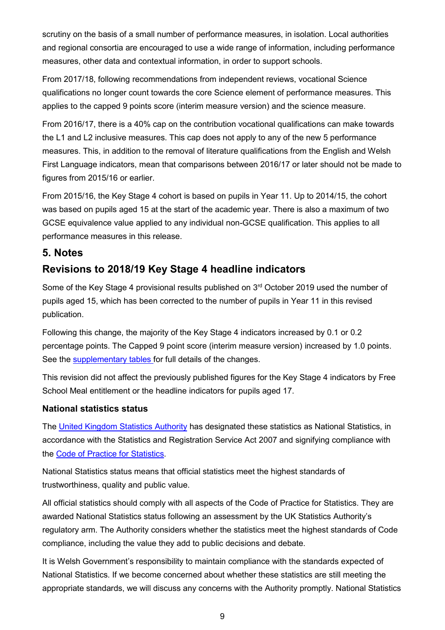scrutiny on the basis of a small number of performance measures, in isolation. Local authorities and regional consortia are encouraged to use a wide range of information, including performance measures, other data and contextual information, in order to support schools.

From 2017/18, following recommendations from independent reviews, vocational Science qualifications no longer count towards the core Science element of performance measures. This applies to the capped 9 points score (interim measure version) and the science measure.

From 2016/17, there is a 40% cap on the contribution vocational qualifications can make towards the L1 and L2 inclusive measures. This cap does not apply to any of the new 5 performance measures. This, in addition to the removal of literature qualifications from the English and Welsh First Language indicators, mean that comparisons between 2016/17 or later should not be made to figures from 2015/16 or earlier.

From 2015/16, the Key Stage 4 cohort is based on pupils in Year 11. Up to 2014/15, the cohort was based on pupils aged 15 at the start of the academic year. There is also a maximum of two GCSE equivalence value applied to any individual non-GCSE qualification. This applies to all performance measures in this release.

### <span id="page-8-0"></span>**5. Notes**

### **Revisions to 2018/19 Key Stage 4 headline indicators**

Some of the Key Stage 4 provisional results published on 3<sup>rd</sup> October 2019 used the number of pupils aged 15, which has been corrected to the number of pupils in Year 11 in this revised publication.

Following this change, the majority of the Key Stage 4 indicators increased by 0.1 or 0.2 percentage points. The Capped 9 point score (interim measure version) increased by 1.0 points. See the [supplementary tables](https://gov.wales/examination-results-september-2018-august-2019-provisional) for full details of the changes.

This revision did not affect the previously published figures for the Key Stage 4 indicators by Free School Meal entitlement or the headline indicators for pupils aged 17.

#### **National statistics status**

The [United Kingdom Statistics Authority](https://www.statisticsauthority.gov.uk/) has designated these statistics as National Statistics, in accordance with the Statistics and Registration Service Act 2007 and signifying compliance with the [Code of Practice for Statistics.](https://www.statisticsauthority.gov.uk/code-of-practice/)

National Statistics status means that official statistics meet the highest standards of trustworthiness, quality and public value.

All official statistics should comply with all aspects of the Code of Practice for Statistics. They are awarded National Statistics status following an assessment by the UK Statistics Authority's regulatory arm. The Authority considers whether the statistics meet the highest standards of Code compliance, including the value they add to public decisions and debate.

It is Welsh Government's responsibility to maintain compliance with the standards expected of National Statistics. If we become concerned about whether these statistics are still meeting the appropriate standards, we will discuss any concerns with the Authority promptly. National Statistics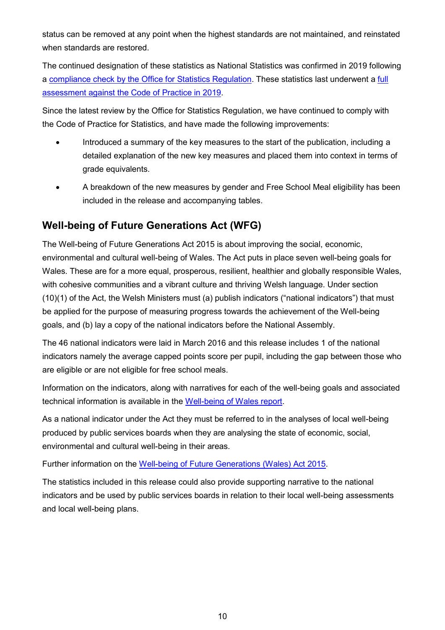status can be removed at any point when the highest standards are not maintained, and reinstated when standards are restored.

The continued designation of these statistics as National Statistics was confirmed in 2019 following a [compliance check by the Office for Statistics Regulation.](https://www.statisticsauthority.gov.uk/correspondence/compliance-check-of-wales-examination-results-statistics/) These statistics last underwent a [full](https://www.statisticsauthority.gov.uk/correspondence/compliance-check-of-wales-examination-results-statistics/)  [assessment against the Code of Practice in 2019.](https://www.statisticsauthority.gov.uk/correspondence/compliance-check-of-wales-examination-results-statistics/)

Since the latest review by the Office for Statistics Regulation, we have continued to comply with the Code of Practice for Statistics, and have made the following improvements:

- Introduced a summary of the key measures to the start of the publication, including a detailed explanation of the new key measures and placed them into context in terms of grade equivalents.
- A breakdown of the new measures by gender and Free School Meal eligibility has been included in the release and accompanying tables.

### **Well-being of Future Generations Act (WFG)**

The Well-being of Future Generations Act 2015 is about improving the social, economic, environmental and cultural well-being of Wales. The Act puts in place seven well-being goals for Wales. These are for a more equal, prosperous, resilient, healthier and globally responsible Wales, with cohesive communities and a vibrant culture and thriving Welsh language. Under section (10)(1) of the Act, the Welsh Ministers must (a) publish indicators ("national indicators") that must be applied for the purpose of measuring progress towards the achievement of the Well-being goals, and (b) lay a copy of the national indicators before the National Assembly.

The 46 national indicators were laid in March 2016 and this release includes 1 of the national indicators namely the average capped points score per pupil, including the gap between those who are eligible or are not eligible for free school meals.

Information on the indicators, along with narratives for each of the well-being goals and associated technical information is available in the [Well-being of Wales report.](https://gov.wales/well-being-wales)

As a national indicator under the Act they must be referred to in the analyses of local well-being produced by public services boards when they are analysing the state of economic, social, environmental and cultural well-being in their areas.

Further information on the [Well-being of Future Generations \(Wales\) Act 2015.](https://gov.wales/well-being-future-generations-wales-act-2015-guidance)

The statistics included in this release could also provide supporting narrative to the national indicators and be used by public services boards in relation to their local well-being assessments and local well-being plans.